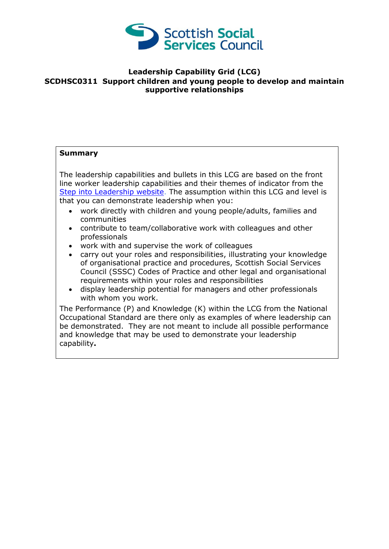

## **Leadership Capability Grid (LCG) SCDHSC0311 Support children and young people to develop and maintain supportive relationships**

## **Summary**

The leadership capabilities and bullets in this LCG are based on the front line worker leadership capabilities and their themes of indicator from the [Step into Leadership website.](http://www.stepintoleadership.info/) The assumption within this LCG and level is that you can demonstrate leadership when you:

- work directly with children and young people/adults, families and communities
- contribute to team/collaborative work with colleagues and other professionals
- work with and supervise the work of colleagues
- carry out your roles and responsibilities, illustrating your knowledge of organisational practice and procedures, Scottish Social Services Council (SSSC) Codes of Practice and other legal and organisational requirements within your roles and responsibilities
- display leadership potential for managers and other professionals with whom you work.

The Performance (P) and Knowledge (K) within the LCG from the National Occupational Standard are there only as examples of where leadership can be demonstrated. They are not meant to include all possible performance and knowledge that may be used to demonstrate your leadership capability**.**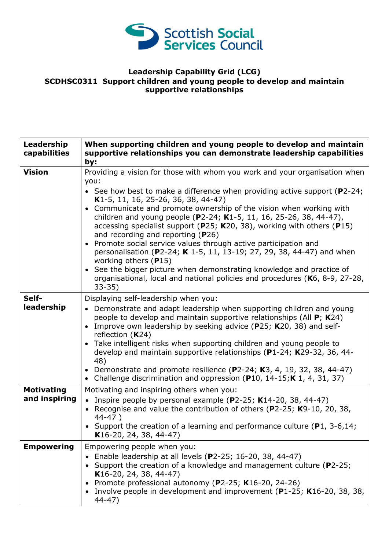

## **Leadership Capability Grid (LCG) SCDHSC0311 Support children and young people to develop and maintain supportive relationships**

| Leadership<br>capabilities         | When supporting children and young people to develop and maintain<br>supportive relationships you can demonstrate leadership capabilities<br>by:                                                                                                                                                                                                                                                                                                                                                                                                                                                                                                                                                                                                                                                                   |
|------------------------------------|--------------------------------------------------------------------------------------------------------------------------------------------------------------------------------------------------------------------------------------------------------------------------------------------------------------------------------------------------------------------------------------------------------------------------------------------------------------------------------------------------------------------------------------------------------------------------------------------------------------------------------------------------------------------------------------------------------------------------------------------------------------------------------------------------------------------|
| <b>Vision</b>                      | Providing a vision for those with whom you work and your organisation when<br>you:<br>• See how best to make a difference when providing active support ( $P2-24$ ;<br>K1-5, 11, 16, 25-26, 36, 38, 44-47)<br>• Communicate and promote ownership of the vision when working with<br>children and young people (P2-24; K1-5, 11, 16, 25-26, 38, 44-47),<br>accessing specialist support (P25; K20, 38), working with others (P15)<br>and recording and reporting $(P26)$<br>• Promote social service values through active participation and<br>personalisation (P2-24; K 1-5, 11, 13-19; 27, 29, 38, 44-47) and when<br>working others (P15)<br>• See the bigger picture when demonstrating knowledge and practice of<br>organisational, local and national policies and procedures (K6, 8-9, 27-28,<br>$33 - 35$ |
| Self-<br>leadership                | Displaying self-leadership when you:<br>• Demonstrate and adapt leadership when supporting children and young<br>people to develop and maintain supportive relationships (All P; K24)<br>• Improve own leadership by seeking advice (P25; K20, 38) and self-<br>reflection $(K24)$<br>• Take intelligent risks when supporting children and young people to<br>develop and maintain supportive relationships (P1-24; K29-32, 36, 44-<br>48)<br>• Demonstrate and promote resilience (P2-24; K3, 4, 19, 32, 38, 44-47)<br>• Challenge discrimination and oppression (P10, 14-15; K 1, 4, 31, 37)                                                                                                                                                                                                                    |
| <b>Motivating</b><br>and inspiring | Motivating and inspiring others when you:<br>• Inspire people by personal example (P2-25; K14-20, 38, 44-47)<br>Recognise and value the contribution of others (P2-25; K9-10, 20, 38,<br>$44 - 47$ )<br>• Support the creation of a learning and performance culture ( $P1$ , 3-6,14;<br>K16-20, 24, 38, 44-47)                                                                                                                                                                                                                                                                                                                                                                                                                                                                                                    |
| <b>Empowering</b>                  | Empowering people when you:<br>Enable leadership at all levels (P2-25; 16-20, 38, 44-47)<br>Support the creation of a knowledge and management culture (P2-25;<br>K16-20, 24, 38, 44-47)<br>Promote professional autonomy (P2-25; K16-20, 24-26)<br>$\bullet$<br>Involve people in development and improvement ( $P1-25$ ; K16-20, 38, 38,<br>$44 - 47$ )                                                                                                                                                                                                                                                                                                                                                                                                                                                          |